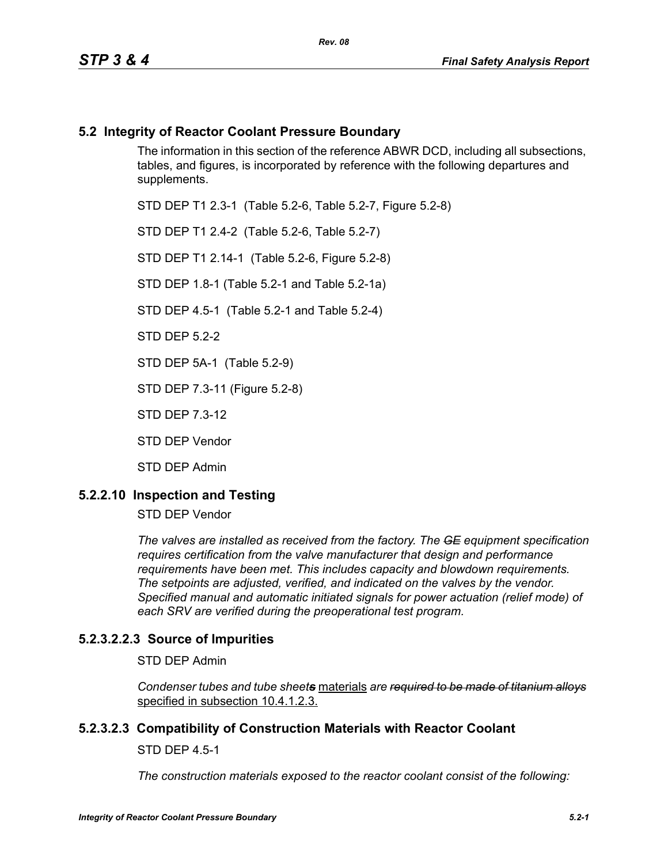### **5.2 Integrity of Reactor Coolant Pressure Boundary**

The information in this section of the reference ABWR DCD, including all subsections, tables, and figures, is incorporated by reference with the following departures and supplements.

STD DEP T1 2.3-1 (Table 5.2-6, Table 5.2-7, Figure 5.2-8)

STD DEP T1 2.4-2 (Table 5.2-6, Table 5.2-7)

STD DEP T1 2.14-1 (Table 5.2-6, Figure 5.2-8)

STD DEP 1.8-1 (Table 5.2-1 and Table 5.2-1a)

STD DEP 4.5-1 (Table 5.2-1 and Table 5.2-4)

STD DEP 5.2-2

STD DEP 5A-1 (Table 5.2-9)

STD DEP 7.3-11 (Figure 5.2-8)

STD DEP 7.3-12

STD DEP Vendor

STD DEP Admin

### **5.2.2.10 Inspection and Testing**

STD DEP Vendor

*The valves are installed as received from the factory. The GE equipment specification requires certification from the valve manufacturer that design and performance requirements have been met. This includes capacity and blowdown requirements. The setpoints are adjusted, verified, and indicated on the valves by the vendor. Specified manual and automatic initiated signals for power actuation (relief mode) of each SRV are verified during the preoperational test program.*

### **5.2.3.2.2.3 Source of Impurities**

STD DEP Admin

*Condenser tubes and tube sheets* materials *are required to be made of titanium alloys* specified in subsection 10.4.1.2.3.

### **5.2.3.2.3 Compatibility of Construction Materials with Reactor Coolant**

STD DEP 4.5-1

*The construction materials exposed to the reactor coolant consist of the following:*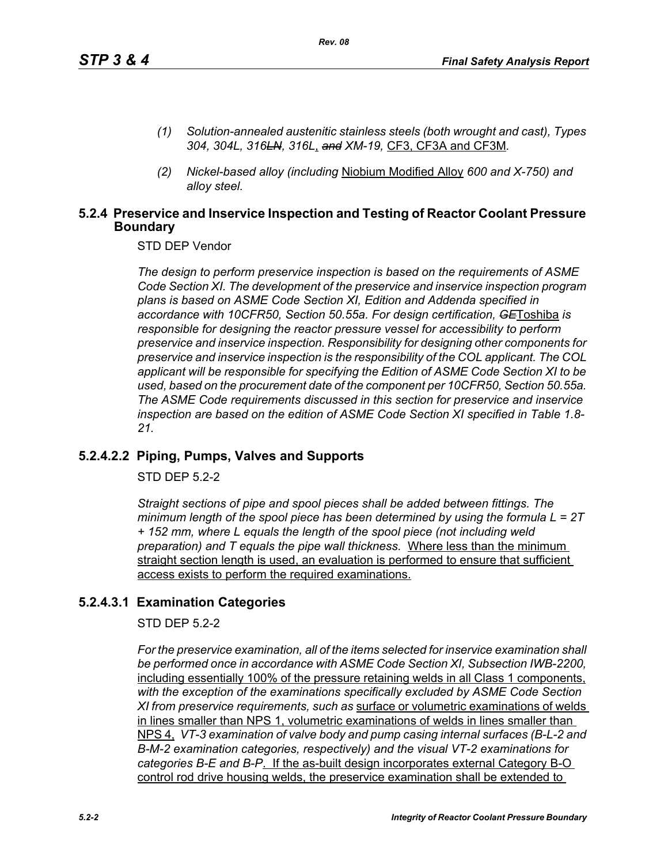- *(1) Solution-annealed austenitic stainless steels (both wrought and cast), Types 304, 304L, 316LN, 316L*, *and XM-19,* CF3, CF3A and CF3M*.*
- *(2) Nickel-based alloy (including* Niobium Modified Alloy *600 and X-750) and alloy steel.*

### **5.2.4 Preservice and Inservice Inspection and Testing of Reactor Coolant Pressure Boundary**

STD DEP Vendor

*The design to perform preservice inspection is based on the requirements of ASME Code Section XI. The development of the preservice and inservice inspection program plans is based on ASME Code Section XI, Edition and Addenda specified in accordance with 10CFR50, Section 50.55a. For design certification, GE*Toshiba *is responsible for designing the reactor pressure vessel for accessibility to perform preservice and inservice inspection. Responsibility for designing other components for preservice and inservice inspection is the responsibility of the COL applicant. The COL applicant will be responsible for specifying the Edition of ASME Code Section XI to be used, based on the procurement date of the component per 10CFR50, Section 50.55a. The ASME Code requirements discussed in this section for preservice and inservice inspection are based on the edition of ASME Code Section XI specified in Table 1.8- 21.*

### **5.2.4.2.2 Piping, Pumps, Valves and Supports**

STD DEP 5.2-2

*Straight sections of pipe and spool pieces shall be added between fittings. The minimum length of the spool piece has been determined by using the formula L = 2T + 152 mm, where L equals the length of the spool piece (not including weld preparation) and T equals the pipe wall thickness.* Where less than the minimum straight section length is used, an evaluation is performed to ensure that sufficient access exists to perform the required examinations.

### **5.2.4.3.1 Examination Categories**

STD DEP 5.2-2

*For the preservice examination, all of the items selected for inservice examination shall*  be performed once in accordance with ASME Code Section XI, Subsection IWB-2200, including essentially 100% of the pressure retaining welds in all Class 1 components, *with the exception of the examinations specifically excluded by ASME Code Section XI from preservice requirements, such as* surface or volumetric examinations of welds in lines smaller than NPS 1, volumetric examinations of welds in lines smaller than NPS 4, *VT-3 examination of valve body and pump casing internal surfaces (B-L-2 and B-M-2 examination categories, respectively) and the visual VT-2 examinations for categories B-E and B-P*. If the as-built design incorporates external Category B-O control rod drive housing welds, the preservice examination shall be extended to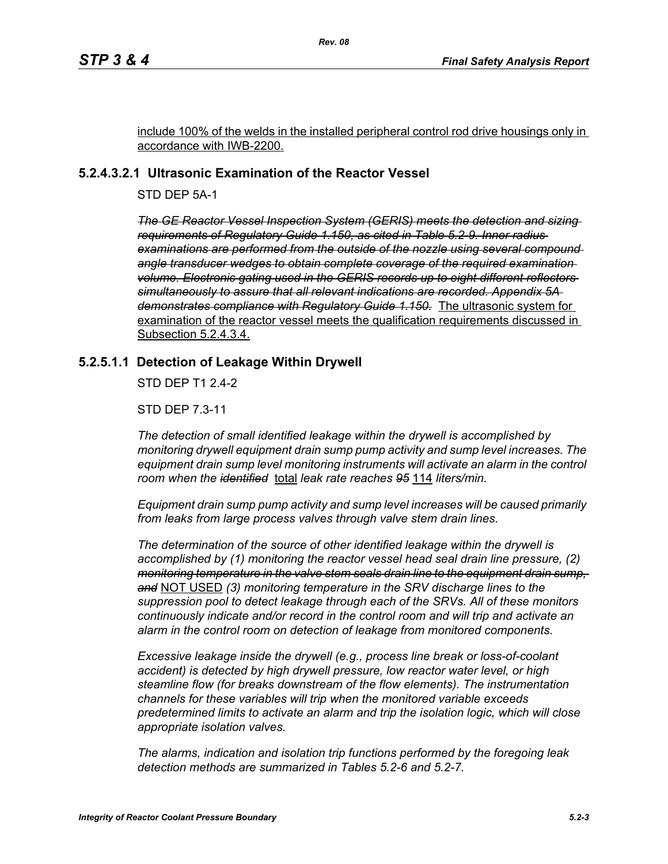include 100% of the welds in the installed peripheral control rod drive housings only in accordance with IWB-2200.

### **5.2.4.3.2.1 Ultrasonic Examination of the Reactor Vessel**

STD DEP 5A-1

*The GE Reactor Vessel Inspection System (GERIS) meets the detection and sizing requirements of Regulatory Guide 1.150, as cited in Table 5.2-9. Inner radius examinations are performed from the outside of the nozzle using several compound angle transducer wedges to obtain complete coverage of the required examination volume. Electronic gating used in the GERIS records up to eight different reflectors simultaneously to assure that all relevant indications are recorded. Appendix 5A demonstrates compliance with Regulatory Guide 1.150.* The ultrasonic system for examination of the reactor vessel meets the qualification requirements discussed in Subsection 5.2.4.3.4.

### **5.2.5.1.1 Detection of Leakage Within Drywell**

STD DEP T1 2.4-2

STD DEP 7.3-11

*The detection of small identified leakage within the drywell is accomplished by monitoring drywell equipment drain sump pump activity and sump level increases. The*  equipment drain sump level monitoring instruments will activate an alarm in the control *room when the identified* total *leak rate reaches 95* 114 *liters/min.*

*Equipment drain sump pump activity and sump level increases will be caused primarily from leaks from large process valves through valve stem drain lines.*

*The determination of the source of other identified leakage within the drywell is accomplished by (1) monitoring the reactor vessel head seal drain line pressure, (2) monitoring temperature in the valve stem seals drain line to the equipment drain sump, and* NOT USED *(3) monitoring temperature in the SRV discharge lines to the suppression pool to detect leakage through each of the SRVs. All of these monitors continuously indicate and/or record in the control room and will trip and activate an alarm in the control room on detection of leakage from monitored components.* 

*Excessive leakage inside the drywell (e.g., process line break or loss-of-coolant accident) is detected by high drywell pressure, low reactor water level, or high steamline flow (for breaks downstream of the flow elements). The instrumentation channels for these variables will trip when the monitored variable exceeds predetermined limits to activate an alarm and trip the isolation logic, which will close appropriate isolation valves.*

*The alarms, indication and isolation trip functions performed by the foregoing leak detection methods are summarized in Tables 5.2-6 and 5.2-7.*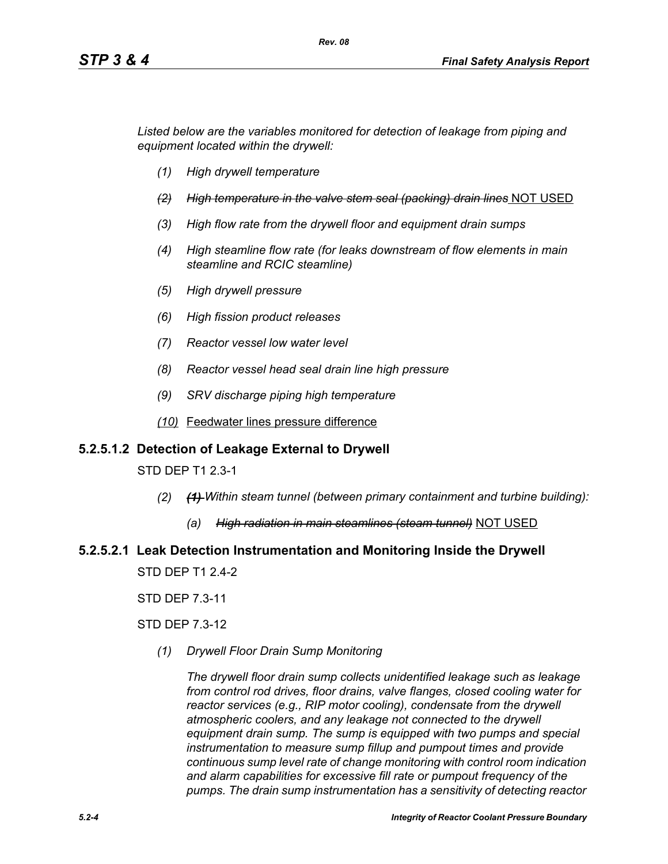*Listed below are the variables monitored for detection of leakage from piping and equipment located within the drywell:*

- *(1) High drywell temperature*
- *(2) High temperature in the valve stem seal (packing) drain lines* NOT USED
- *(3) High flow rate from the drywell floor and equipment drain sumps*
- *(4) High steamline flow rate (for leaks downstream of flow elements in main steamline and RCIC steamline)*
- *(5) High drywell pressure*
- *(6) High fission product releases*
- *(7) Reactor vessel low water level*
- *(8) Reactor vessel head seal drain line high pressure*
- *(9) SRV discharge piping high temperature*
- *(10)* Feedwater lines pressure difference

### **5.2.5.1.2 Detection of Leakage External to Drywell**

STD DEP T1 2.3-1

- *(2) (1) Within steam tunnel (between primary containment and turbine building):*
	- *(a) High radiation in main steamlines (steam tunnel)* NOT USED

# **5.2.5.2.1 Leak Detection Instrumentation and Monitoring Inside the Drywell**

STD DEP T1 2.4-2

STD DEP 7.3-11

STD DEP 7.3-12

*(1) Drywell Floor Drain Sump Monitoring*

*The drywell floor drain sump collects unidentified leakage such as leakage from control rod drives, floor drains, valve flanges, closed cooling water for reactor services (e.g., RIP motor cooling), condensate from the drywell atmospheric coolers, and any leakage not connected to the drywell equipment drain sump. The sump is equipped with two pumps and special instrumentation to measure sump fillup and pumpout times and provide continuous sump level rate of change monitoring with control room indication and alarm capabilities for excessive fill rate or pumpout frequency of the pumps. The drain sump instrumentation has a sensitivity of detecting reactor*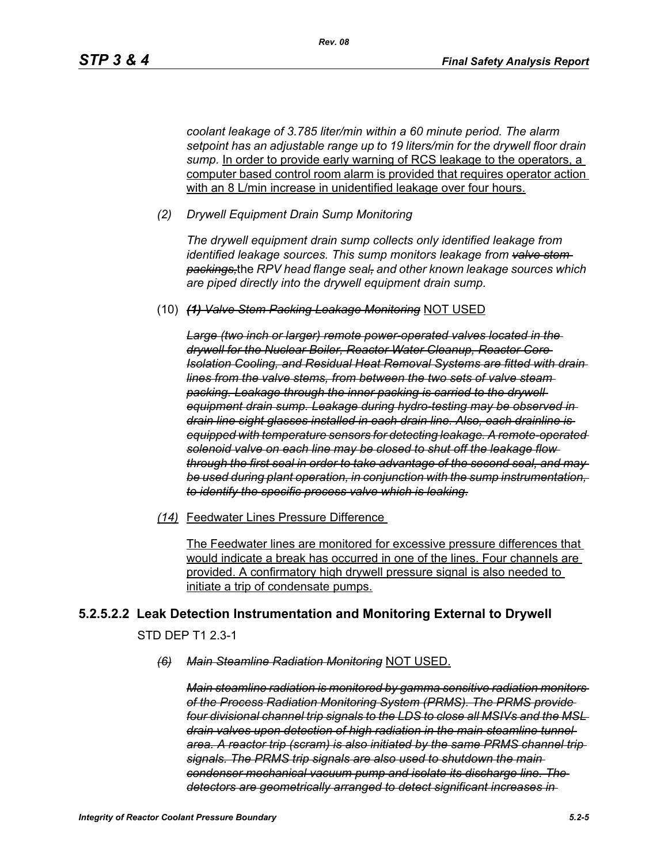*coolant leakage of 3.785 liter/min within a 60 minute period. The alarm setpoint has an adjustable range up to 19 liters/min for the drywell floor drain*  sump. In order to provide early warning of RCS leakage to the operators, a computer based control room alarm is provided that requires operator action with an 8 L/min increase in unidentified leakage over four hours.

*(2) Drywell Equipment Drain Sump Monitoring*

*The drywell equipment drain sump collects only identified leakage from identified leakage sources. This sump monitors leakage from valve stem packings,*the *RPV head flange seal, and other known leakage sources which are piped directly into the drywell equipment drain sump.*

(10) *(1) Valve Stem Packing Leakage Monitoring* NOT USED

*Large (two inch or larger) remote power-operated valves located in the drywell for the Nuclear Boiler, Reactor Water Cleanup, Reactor Core Isolation Cooling, and Residual Heat Removal Systems are fitted with drain lines from the valve stems, from between the two sets of valve steam packing. Leakage through the inner packing is carried to the drywell equipment drain sump. Leakage during hydro-testing may be observed in drain line sight glasses installed in each drain line. Also, each drainline is equipped with temperature sensors for detecting leakage. A remote-operated solenoid valve on each line may be closed to shut off the leakage flow through the first seal in order to take advantage of the second seal, and may be used during plant operation, in conjunction with the sump instrumentation, to identify the specific process valve which is leaking.*

*(14)* Feedwater Lines Pressure Difference

The Feedwater lines are monitored for excessive pressure differences that would indicate a break has occurred in one of the lines. Four channels are provided. A confirmatory high drywell pressure signal is also needed to initiate a trip of condensate pumps.

### **5.2.5.2.2 Leak Detection Instrumentation and Monitoring External to Drywell**

STD DEP T1 2.3-1

*(6) Main Steamline Radiation Monitoring* NOT USED.

*Main steamline radiation is monitored by gamma sensitive radiation monitors of the Process Radiation Monitoring System (PRMS). The PRMS provide four divisional channel trip signals to the LDS to close all MSIVs and the MSL drain valves upon detection of high radiation in the main steamline tunnel area. A reactor trip (scram) is also initiated by the same PRMS channel trip signals. The PRMS trip signals are also used to shutdown the main condenser mechanical vacuum pump and isolate its discharge line. The detectors are geometrically arranged to detect significant increases in*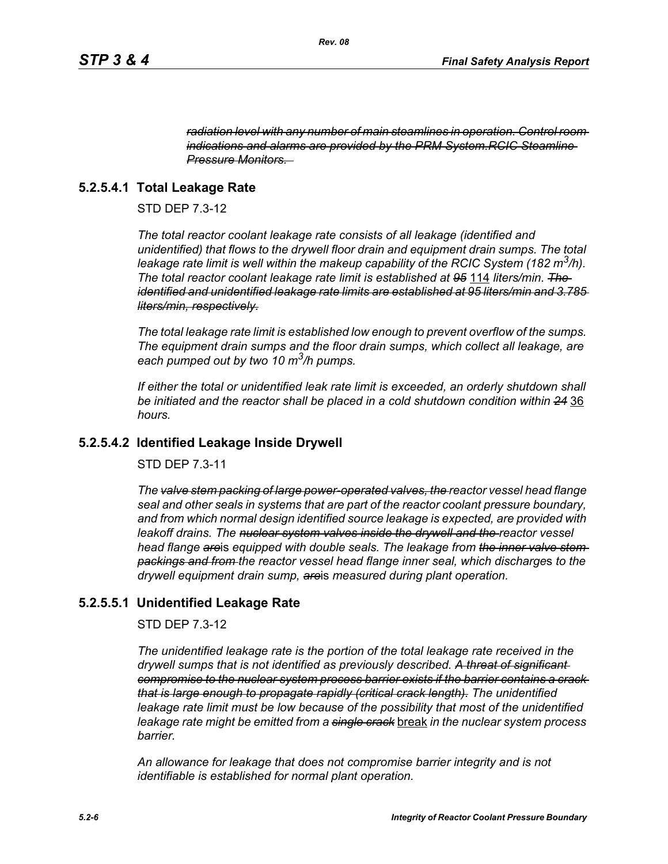*radiation level with any number of main steamlines in operation. Control room indications and alarms are provided by the PRM System.RCIC Steamline Pressure Monitors.* 

### **5.2.5.4.1 Total Leakage Rate**

STD DEP 7.3-12

*The total reactor coolant leakage rate consists of all leakage (identified and unidentified) that flows to the drywell floor drain and equipment drain sumps. The total leakage rate limit is well within the makeup capability of the RCIC System (182 m3/h). The total reactor coolant leakage rate limit is established at 95* 114 *liters/min. The identified and unidentified leakage rate limits are established at 95 liters/min and 3.785 liters/min, respectively.*

*The total leakage rate limit is established low enough to prevent overflow of the sumps. The equipment drain sumps and the floor drain sumps, which collect all leakage, are each pumped out by two 10 m3/h pumps.*

*If either the total or unidentified leak rate limit is exceeded, an orderly shutdown shall be initiated and the reactor shall be placed in a cold shutdown condition within 24* 36 *hours.*

### **5.2.5.4.2 Identified Leakage Inside Drywell**

STD DEP 7.3-11

*The valve stem packing of large power-operated valves, the reactor vessel head flange seal and other seals in systems that are part of the reactor coolant pressure boundary, and from which normal design identified source leakage is expected, are provided with leakoff drains. The nuclear system valves inside the drywell and the reactor vessel head flange are*is *equipped with double seals. The leakage from the inner valve stem packings and from the reactor vessel head flange inner seal, which discharge*s *to the drywell equipment drain sump, are*is *measured during plant operation.*

### **5.2.5.5.1 Unidentified Leakage Rate**

STD DEP 7.3-12

*The unidentified leakage rate is the portion of the total leakage rate received in the drywell sumps that is not identified as previously described. A threat of significant compromise to the nuclear system process barrier exists if the barrier contains a crack that is large enough to propagate rapidly (critical crack length). The unidentified leakage rate limit must be low because of the possibility that most of the unidentified leakage rate might be emitted from a single crack* break *in the nuclear system process barrier.*

*An allowance for leakage that does not compromise barrier integrity and is not identifiable is established for normal plant operation.*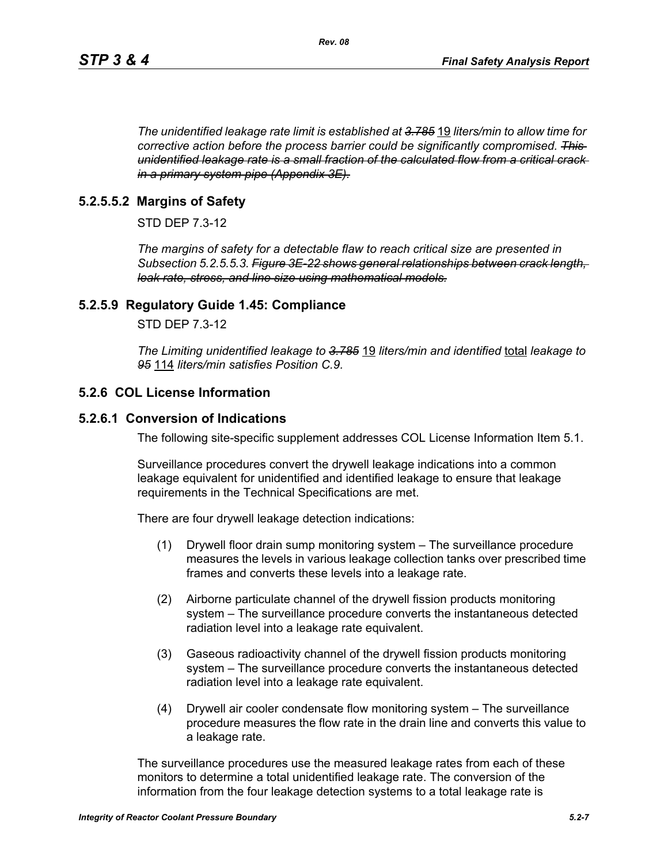*The unidentified leakage rate limit is established at 3.785* 19 *liters/min to allow time for corrective action before the process barrier could be significantly compromised. This unidentified leakage rate is a small fraction of the calculated flow from a critical crack in a primary system pipe (Appendix 3E).*

### **5.2.5.5.2 Margins of Safety**

STD DEP 7.3-12

*The margins of safety for a detectable flaw to reach critical size are presented in Subsection 5.2.5.5.3. Figure 3E-22 shows general relationships between crack length, leak rate, stress, and line size using mathematical models.*

### **5.2.5.9 Regulatory Guide 1.45: Compliance**

STD DEP 7.3-12

*The Limiting unidentified leakage to 3.785* 19 *liters/min and identified* total *leakage to 95* 114 *liters/min satisfies Position C.9.*

### **5.2.6 COL License Information**

### **5.2.6.1 Conversion of Indications**

The following site-specific supplement addresses COL License Information Item 5.1.

Surveillance procedures convert the drywell leakage indications into a common leakage equivalent for unidentified and identified leakage to ensure that leakage requirements in the Technical Specifications are met.

There are four drywell leakage detection indications:

- (1) Drywell floor drain sump monitoring system The surveillance procedure measures the levels in various leakage collection tanks over prescribed time frames and converts these levels into a leakage rate.
- (2) Airborne particulate channel of the drywell fission products monitoring system – The surveillance procedure converts the instantaneous detected radiation level into a leakage rate equivalent.
- (3) Gaseous radioactivity channel of the drywell fission products monitoring system – The surveillance procedure converts the instantaneous detected radiation level into a leakage rate equivalent.
- (4) Drywell air cooler condensate flow monitoring system The surveillance procedure measures the flow rate in the drain line and converts this value to a leakage rate.

The surveillance procedures use the measured leakage rates from each of these monitors to determine a total unidentified leakage rate. The conversion of the information from the four leakage detection systems to a total leakage rate is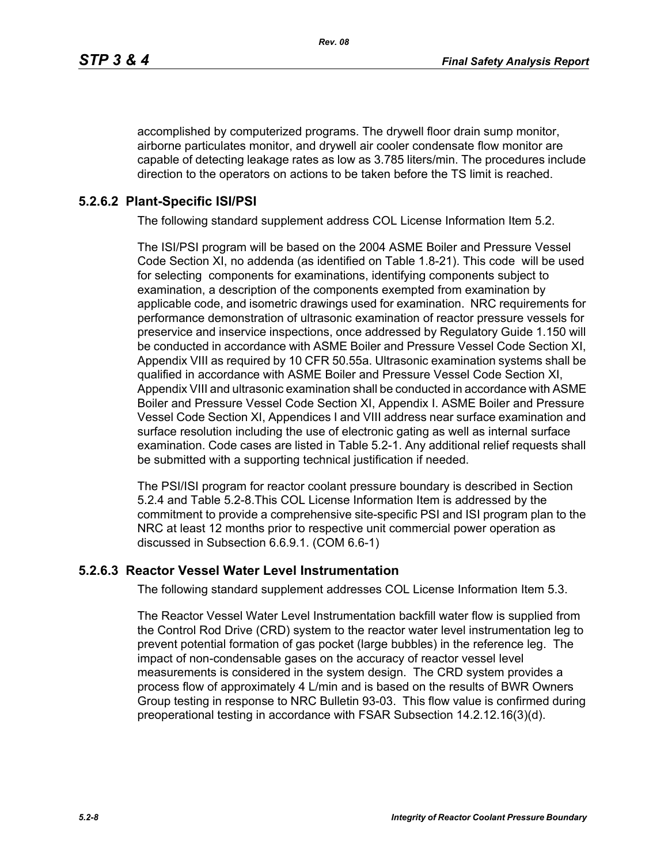accomplished by computerized programs. The drywell floor drain sump monitor, airborne particulates monitor, and drywell air cooler condensate flow monitor are capable of detecting leakage rates as low as 3.785 liters/min. The procedures include direction to the operators on actions to be taken before the TS limit is reached.

### **5.2.6.2 Plant-Specific ISI/PSI**

The following standard supplement address COL License Information Item 5.2.

The ISI/PSI program will be based on the 2004 ASME Boiler and Pressure Vessel Code Section XI, no addenda (as identified on Table 1.8-21). This code will be used for selecting components for examinations, identifying components subject to examination, a description of the components exempted from examination by applicable code, and isometric drawings used for examination. NRC requirements for performance demonstration of ultrasonic examination of reactor pressure vessels for preservice and inservice inspections, once addressed by Regulatory Guide 1.150 will be conducted in accordance with ASME Boiler and Pressure Vessel Code Section XI, Appendix VIII as required by 10 CFR 50.55a. Ultrasonic examination systems shall be qualified in accordance with ASME Boiler and Pressure Vessel Code Section XI, Appendix VIII and ultrasonic examination shall be conducted in accordance with ASME Boiler and Pressure Vessel Code Section XI, Appendix I. ASME Boiler and Pressure Vessel Code Section XI, Appendices I and VIII address near surface examination and surface resolution including the use of electronic gating as well as internal surface examination. Code cases are listed in Table 5.2-1. Any additional relief requests shall be submitted with a supporting technical justification if needed.

The PSI/ISI program for reactor coolant pressure boundary is described in Section 5.2.4 and Table 5.2-8.This COL License Information Item is addressed by the commitment to provide a comprehensive site-specific PSI and ISI program plan to the NRC at least 12 months prior to respective unit commercial power operation as discussed in Subsection 6.6.9.1. (COM 6.6-1)

### **5.2.6.3 Reactor Vessel Water Level Instrumentation**

The following standard supplement addresses COL License Information Item 5.3.

The Reactor Vessel Water Level Instrumentation backfill water flow is supplied from the Control Rod Drive (CRD) system to the reactor water level instrumentation leg to prevent potential formation of gas pocket (large bubbles) in the reference leg. The impact of non-condensable gases on the accuracy of reactor vessel level measurements is considered in the system design. The CRD system provides a process flow of approximately 4 L/min and is based on the results of BWR Owners Group testing in response to NRC Bulletin 93-03. This flow value is confirmed during preoperational testing in accordance with FSAR Subsection 14.2.12.16(3)(d).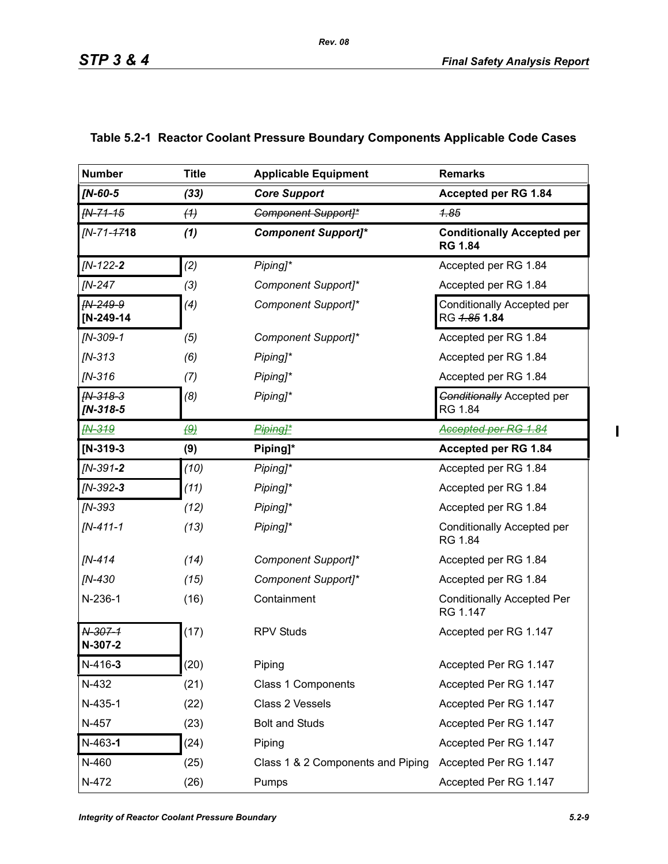| <b>Number</b>            | <b>Title</b>      | <b>Applicable Equipment</b>       | <b>Remarks</b>                                        |
|--------------------------|-------------------|-----------------------------------|-------------------------------------------------------|
| $IN-60-5$                | (33)              | <b>Core Support</b>               | Accepted per RG 1.84                                  |
| $fN - 71 - 15$           | (4)               | <b>Component Support]*</b>        | 4.85                                                  |
| [N-71- <del>17</del> 18  | (1)               | <b>Component Support]*</b>        | <b>Conditionally Accepted per</b><br><b>RG 1.84</b>   |
| [N-122-2                 | (2)               | Piping]*                          | Accepted per RG 1.84                                  |
| <b>IN-247</b>            | (3)               | Component Support]*               | Accepted per RG 1.84                                  |
| FN-249-9<br>$[N-249-14]$ | (4)               | Component Support]*               | Conditionally Accepted per<br>RG <del>1.85</del> 1.84 |
| $IN-309-1$               | (5)               | Component Support]*               | Accepted per RG 1.84                                  |
| $IN-313$                 | (6)               | Piping]*                          | Accepted per RG 1.84                                  |
| $IN-316$                 | (7)               | Piping]*                          | Accepted per RG 1.84                                  |
| FN-318-3<br>[N-318-5     | (8)               | Piping]*                          | <b>Conditionally Accepted per</b><br>RG 1.84          |
| <b>FN-319</b>            | $\left( 9\right)$ | Piping1*                          | Accepted per RG 1.84                                  |
| $[N-319-3]$              | (9)               | Piping]*                          | Accepted per RG 1.84                                  |
| $IN-391-2$               | (10)              | Piping]*                          | Accepted per RG 1.84                                  |
| [N-392-3                 | (11)              | Piping]*                          | Accepted per RG 1.84                                  |
| [N-393                   | (12)              | Piping]*                          | Accepted per RG 1.84                                  |
| [N-411-1                 | (13)              | Piping]*                          | Conditionally Accepted per<br>RG 1.84                 |
| $IN-414$                 | (14)              | Component Support]*               | Accepted per RG 1.84                                  |
| [N-430                   | (15)              | Component Support]*               | Accepted per RG 1.84                                  |
| N-236-1                  | (16)              | Containment                       | <b>Conditionally Accepted Per</b><br>RG 1.147         |
| N-307-1<br>N-307-2       | (17)              | <b>RPV Studs</b>                  | Accepted per RG 1.147                                 |
| $N-416-3$                | (20)              | Piping                            | Accepted Per RG 1.147                                 |
| N-432                    | (21)              | Class 1 Components                | Accepted Per RG 1.147                                 |
| N-435-1                  | (22)              | Class 2 Vessels                   | Accepted Per RG 1.147                                 |
| N-457                    | (23)              | <b>Bolt and Studs</b>             | Accepted Per RG 1.147                                 |
| $N-463-1$                | (24)              | Piping                            | Accepted Per RG 1.147                                 |
| N-460                    | (25)              | Class 1 & 2 Components and Piping | Accepted Per RG 1.147                                 |
| N-472                    | (26)              | Pumps                             | Accepted Per RG 1.147                                 |

### **Table 5.2-1 Reactor Coolant Pressure Boundary Components Applicable Code Cases**

*Rev. 08*

 $\mathbf{I}$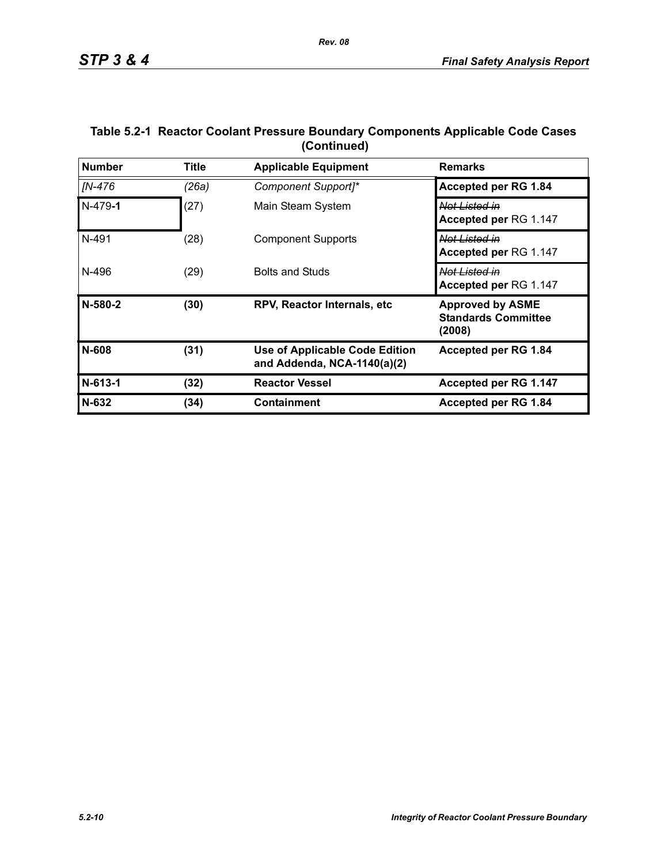| <b>Number</b> | <b>Title</b> | <b>Applicable Equipment</b>                                          | <b>Remarks</b>                                                  |
|---------------|--------------|----------------------------------------------------------------------|-----------------------------------------------------------------|
| [N-476        | (26a)        | Component Support]*                                                  | Accepted per RG 1.84                                            |
| $N-479-1$     | (27)         | Main Steam System                                                    | Not Listed in<br>Accepted per RG 1.147                          |
| N-491         | (28)         | <b>Component Supports</b>                                            | Not Listed in<br>Accepted per RG 1.147                          |
| N-496         | (29)         | <b>Bolts and Studs</b>                                               | Not Listed in<br>Accepted per RG 1.147                          |
| N-580-2       | (30)         | RPV, Reactor Internals, etc.                                         | <b>Approved by ASME</b><br><b>Standards Committee</b><br>(2008) |
| N-608         | (31)         | <b>Use of Applicable Code Edition</b><br>and Addenda, NCA-1140(a)(2) | Accepted per RG 1.84                                            |
| N-613-1       | (32)         | <b>Reactor Vessel</b>                                                | Accepted per RG 1.147                                           |
| $N-632$       | (34)         | <b>Containment</b>                                                   | Accepted per RG 1.84                                            |

### **Table 5.2-1 Reactor Coolant Pressure Boundary Components Applicable Code Cases (Continued)**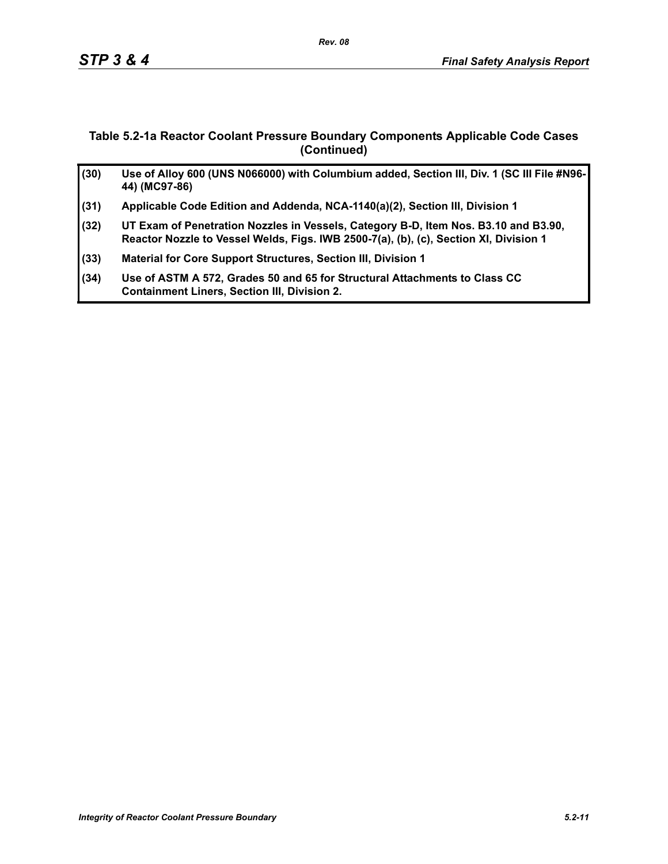### **Table 5.2-1a Reactor Coolant Pressure Boundary Components Applicable Code Cases (Continued)**

| (30) | Use of Alloy 600 (UNS N066000) with Columbium added, Section III, Div. 1 (SC III File #N96-<br>44) (MC97-86)                                                                 |
|------|------------------------------------------------------------------------------------------------------------------------------------------------------------------------------|
| (31) | Applicable Code Edition and Addenda, NCA-1140(a)(2), Section III, Division 1                                                                                                 |
| (32) | UT Exam of Penetration Nozzles in Vessels, Category B-D, Item Nos. B3.10 and B3.90,<br>Reactor Nozzle to Vessel Welds, Figs. IWB 2500-7(a), (b), (c), Section XI, Division 1 |
| (33) | Material for Core Support Structures, Section III, Division 1                                                                                                                |
| (34) | Use of ASTM A 572, Grades 50 and 65 for Structural Attachments to Class CC<br><b>Containment Liners, Section III, Division 2.</b>                                            |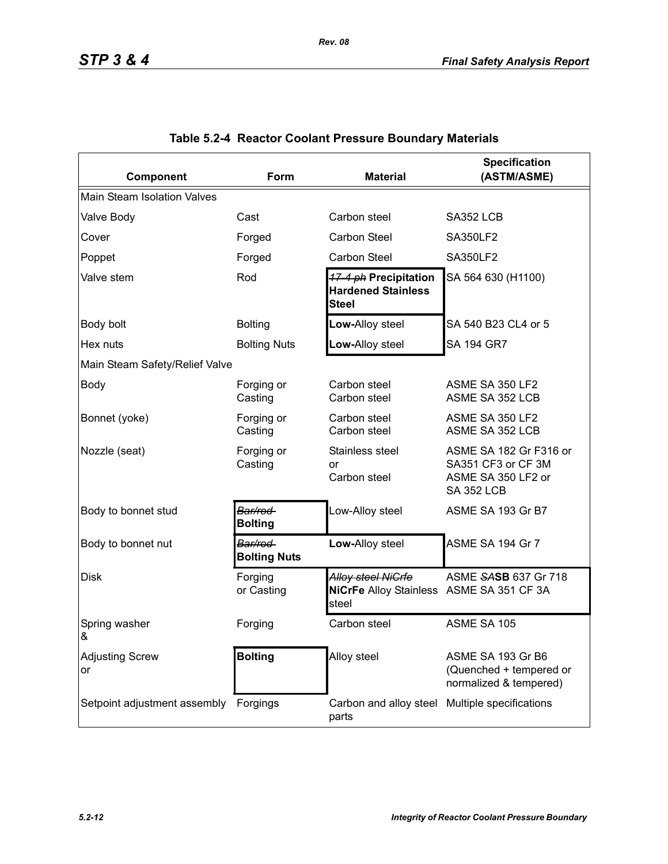| Component                      | <b>Form</b>                     | <b>Material</b>                                                         | <b>Specification</b><br>(ASTM/ASME)                                                     |  |  |  |  |  |  |
|--------------------------------|---------------------------------|-------------------------------------------------------------------------|-----------------------------------------------------------------------------------------|--|--|--|--|--|--|
| Main Steam Isolation Valves    |                                 |                                                                         |                                                                                         |  |  |  |  |  |  |
| Valve Body                     | Cast                            | Carbon steel                                                            | SA352 LCB                                                                               |  |  |  |  |  |  |
| Cover                          | Forged                          | Carbon Steel                                                            | <b>SA350LF2</b>                                                                         |  |  |  |  |  |  |
| Poppet                         | Forged                          | <b>Carbon Steel</b>                                                     | <b>SA350LF2</b>                                                                         |  |  |  |  |  |  |
| Valve stem                     | Rod                             | 17-4 ph Precipitation<br><b>Hardened Stainless</b><br><b>Steel</b>      | SA 564 630 (H1100)                                                                      |  |  |  |  |  |  |
| Body bolt                      | <b>Bolting</b>                  | Low-Alloy steel                                                         | SA 540 B23 CL4 or 5                                                                     |  |  |  |  |  |  |
| Hex nuts                       | <b>Bolting Nuts</b>             | Low-Alloy steel                                                         | SA 194 GR7                                                                              |  |  |  |  |  |  |
| Main Steam Safety/Relief Valve |                                 |                                                                         |                                                                                         |  |  |  |  |  |  |
| <b>Body</b>                    | Forging or<br>Casting           | Carbon steel<br>Carbon steel                                            | ASME SA 350 LF2<br>ASME SA 352 LCB                                                      |  |  |  |  |  |  |
| Bonnet (yoke)                  | Forging or<br>Casting           | Carbon steel<br>Carbon steel                                            | ASME SA 350 LF2<br>ASME SA 352 LCB                                                      |  |  |  |  |  |  |
| Nozzle (seat)                  | Forging or<br>Casting           | Stainless steel<br>or<br>Carbon steel                                   | ASME SA 182 Gr F316 or<br>SA351 CF3 or CF 3M<br>ASME SA 350 LF2 or<br><b>SA 352 LCB</b> |  |  |  |  |  |  |
| Body to bonnet stud            | Bar/rod<br><b>Bolting</b>       | Low-Alloy steel                                                         | ASME SA 193 Gr B7                                                                       |  |  |  |  |  |  |
| Body to bonnet nut             | Bar/rod-<br><b>Bolting Nuts</b> | Low-Alloy steel                                                         | ASME SA 194 Gr 7                                                                        |  |  |  |  |  |  |
| <b>Disk</b>                    | Forging<br>or Casting           | Alloy steel NiGrfe<br>NiCrFe Alloy Stainless ASME SA 351 CF 3A<br>steel | ASME SASB 637 Gr 718                                                                    |  |  |  |  |  |  |
| Spring washer<br>&             | Forging                         | Carbon steel                                                            | ASME SA 105                                                                             |  |  |  |  |  |  |
| <b>Adjusting Screw</b><br>or   | <b>Bolting</b>                  | Alloy steel                                                             | ASME SA 193 Gr B6<br>(Quenched + tempered or<br>normalized & tempered)                  |  |  |  |  |  |  |
| Setpoint adjustment assembly   | Forgings                        | Carbon and alloy steel<br>parts                                         | Multiple specifications                                                                 |  |  |  |  |  |  |

### **Table 5.2-4 Reactor Coolant Pressure Boundary Materials**

*Rev. 08*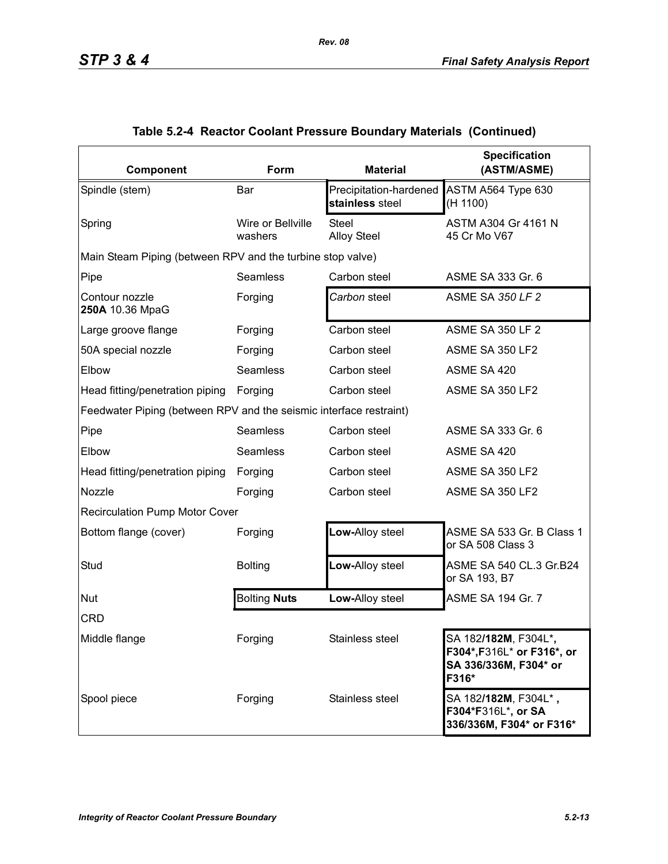| Component                                                          | Form                         | <b>Material</b>                           | <b>Specification</b><br>(ASTM/ASME)                                                                   |
|--------------------------------------------------------------------|------------------------------|-------------------------------------------|-------------------------------------------------------------------------------------------------------|
| Spindle (stem)                                                     | Bar                          | Precipitation-hardened<br>stainless steel | ASTM A564 Type 630<br>(H 1100)                                                                        |
| Spring                                                             | Wire or Bellville<br>washers | <b>Steel</b><br><b>Alloy Steel</b>        | ASTM A304 Gr 4161 N<br>45 Cr Mo V67                                                                   |
| Main Steam Piping (between RPV and the turbine stop valve)         |                              |                                           |                                                                                                       |
| Pipe                                                               | <b>Seamless</b>              | Carbon steel                              | ASME SA 333 Gr. 6                                                                                     |
| Contour nozzle<br>250A 10.36 MpaG                                  | Forging                      | Carbon steel                              | <b>ASME SA 350 LF 2</b>                                                                               |
| Large groove flange                                                | Forging                      | Carbon steel                              | <b>ASME SA 350 LF 2</b>                                                                               |
| 50A special nozzle                                                 | Forging                      | Carbon steel                              | ASME SA 350 LF2                                                                                       |
| Elbow                                                              | <b>Seamless</b>              | Carbon steel                              | ASME SA 420                                                                                           |
| Head fitting/penetration piping                                    | Forging                      | Carbon steel                              | ASME SA 350 LF2                                                                                       |
| Feedwater Piping (between RPV and the seismic interface restraint) |                              |                                           |                                                                                                       |
| Pipe                                                               | <b>Seamless</b>              | Carbon steel                              | ASME SA 333 Gr. 6                                                                                     |
| Elbow                                                              | <b>Seamless</b>              | Carbon steel                              | ASME SA 420                                                                                           |
| Head fitting/penetration piping                                    | Forging                      | Carbon steel                              | ASME SA 350 LF2                                                                                       |
| Nozzle                                                             | Forging                      | Carbon steel                              | ASME SA 350 LF2                                                                                       |
| <b>Recirculation Pump Motor Cover</b>                              |                              |                                           |                                                                                                       |
| Bottom flange (cover)                                              | Forging                      | Low-Alloy steel                           | ASME SA 533 Gr. B Class 1<br>or SA 508 Class 3                                                        |
| Stud                                                               | <b>Bolting</b>               | Low-Alloy steel                           | ASME SA 540 CL.3 Gr.B24<br>or SA 193, B7                                                              |
| Nut                                                                | <b>Bolting Nuts</b>          | Low-Alloy steel                           | ASME SA 194 Gr. 7                                                                                     |
| <b>CRD</b>                                                         |                              |                                           |                                                                                                       |
| Middle flange                                                      | Forging                      | Stainless steel                           | SA 182/ <b>182M</b> , F304L* <b>,</b><br>F304*, F316L* or F316*, or<br>SA 336/336M, F304* or<br>F316* |
| Spool piece                                                        | Forging                      | Stainless steel                           | SA 182/182M, F304L*,<br>F304*F316L*, or SA<br>336/336M, F304* or F316*                                |

## **Table 5.2-4 Reactor Coolant Pressure Boundary Materials (Continued)**

*Rev. 08*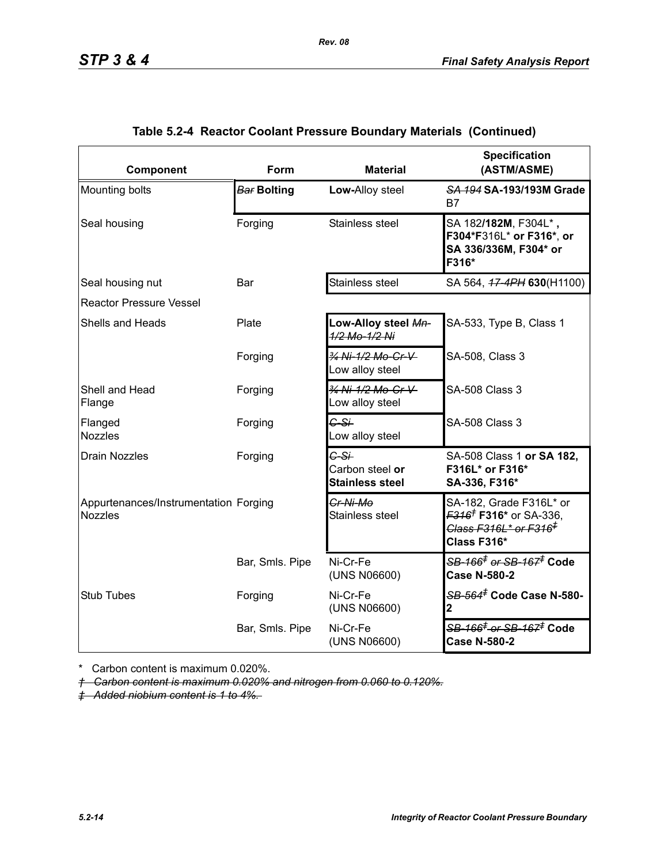| Component                                               | Form            | <b>Material</b>                                     | <b>Specification</b><br>(ASTM/ASME)                                                                                                   |  |  |  |  |  |  |  |
|---------------------------------------------------------|-----------------|-----------------------------------------------------|---------------------------------------------------------------------------------------------------------------------------------------|--|--|--|--|--|--|--|
| Mounting bolts                                          | Bar Bolting     | Low-Alloy steel                                     | SA 194 SA-193/193M Grade<br>B7                                                                                                        |  |  |  |  |  |  |  |
| Seal housing                                            | Forging         | Stainless steel                                     | SA 182/182M, F304L*,<br>F304*F316L* or F316*, or<br>SA 336/336M, F304* or<br>F316*                                                    |  |  |  |  |  |  |  |
| Seal housing nut                                        | Bar             | Stainless steel                                     | SA 564, 47-4PH 630(H1100)                                                                                                             |  |  |  |  |  |  |  |
| <b>Reactor Pressure Vessel</b>                          |                 |                                                     |                                                                                                                                       |  |  |  |  |  |  |  |
| Shells and Heads                                        | Plate           | Low-Alloy steel Mn-<br>1/2 Mo-1/2 Ni                | SA-533, Type B, Class 1                                                                                                               |  |  |  |  |  |  |  |
|                                                         | Forging         | 34 Ni-1/2 Mo-Cr-V<br>Low alloy steel                | SA-508, Class 3                                                                                                                       |  |  |  |  |  |  |  |
| Shell and Head<br>Flange                                | Forging         | 3/4 Ni-1/2 Mo-Cr-V<br>Low alloy steel               | <b>SA-508 Class 3</b>                                                                                                                 |  |  |  |  |  |  |  |
| Flanged<br><b>Nozzles</b>                               | Forging         | $G-S+$<br>Low alloy steel                           | <b>SA-508 Class 3</b>                                                                                                                 |  |  |  |  |  |  |  |
| <b>Drain Nozzles</b>                                    | Forging         | $C-S+$<br>Carbon steel or<br><b>Stainless steel</b> | SA-508 Class 1 or SA 182,<br>F316L* or F316*<br>SA-336, F316*                                                                         |  |  |  |  |  |  |  |
| Appurtenances/Instrumentation Forging<br><b>Nozzles</b> |                 | Cr-Ni-Mo<br>Stainless steel                         | SA-182, Grade F316L* or<br><del>F316<sup>†</sup> F316*</del> or SA-336,<br><del>Class F316L* or F316<sup>‡</sup></del><br>Class F316* |  |  |  |  |  |  |  |
|                                                         | Bar, Smls. Pipe | Ni-Cr-Fe<br>(UNS N06600)                            | <del>SB-166<sup>≢</sup> or SB-167<sup>≢</sup> Code</del><br><b>Case N-580-2</b>                                                       |  |  |  |  |  |  |  |
| <b>Stub Tubes</b>                                       | Forging         | Ni-Cr-Fe<br>(UNS N06600)                            | <del>SB-564<sup>≢</sup> Code Case N-580-</del><br>2                                                                                   |  |  |  |  |  |  |  |
|                                                         | Bar, Smls. Pipe | Ni-Cr-Fe<br>(UNS N06600)                            | <del>SB-166<sup>‡</sup> or SB-167<sup>‡</sup> Code</del><br><b>Case N-580-2</b>                                                       |  |  |  |  |  |  |  |

### **Table 5.2-4 Reactor Coolant Pressure Boundary Materials (Continued)**

*Rev. 08*

\* Carbon content is maximum 0.020%.

*† Carbon content is maximum 0.020% and nitrogen from 0.060 to 0.120%.*

*‡ Added niobium content is 1 to 4%.*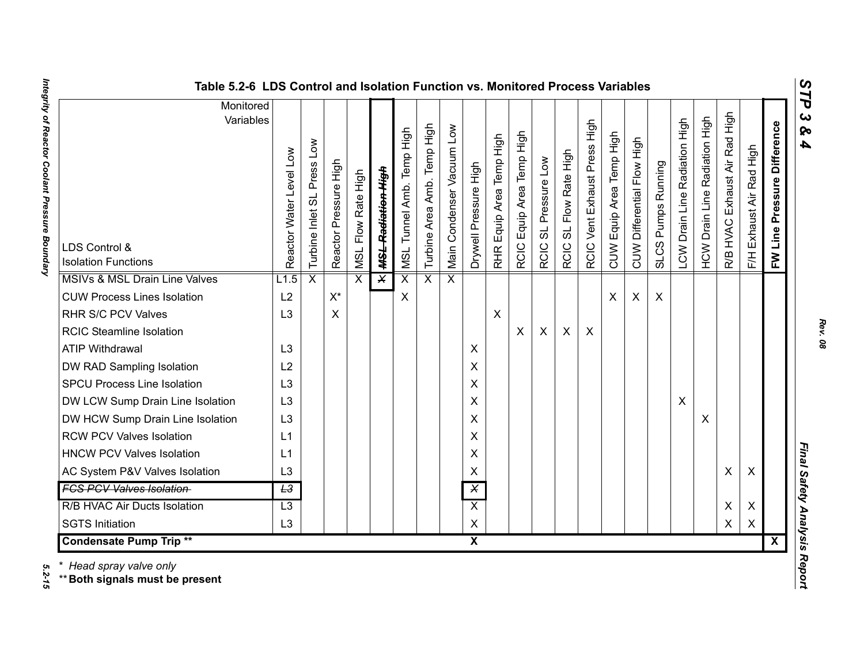| ທ |
|---|
| ⊣ |
| d |
| ట |
| ശ |
| 4 |

| Table 5.2-6 LDS Control and Isolation Function vs. Monitored Process Variables |                            |                            |                       |                              |                               |                           |                                   |                           |                         |                                    |                                |                                |                                  |                              |                          |                            |                                    |                               |                                         |                                     |                          |                                |                              |
|--------------------------------------------------------------------------------|----------------------------|----------------------------|-----------------------|------------------------------|-------------------------------|---------------------------|-----------------------------------|---------------------------|-------------------------|------------------------------------|--------------------------------|--------------------------------|----------------------------------|------------------------------|--------------------------|----------------------------|------------------------------------|-------------------------------|-----------------------------------------|-------------------------------------|--------------------------|--------------------------------|------------------------------|
| Monitored<br>Variables<br>LDS Control &<br><b>Isolation Functions</b>          | Level Low<br>Reactor Water | Turbine Inlet SL Press Low | Reactor Pressure High | Flow Rate High<br><b>ISN</b> | <del>MSL Radiation High</del> | MSL Tunnel Amb. Temp High | Temp High<br>Amb.<br>Turbine Area | Main Condenser Vacuum Low | Drywell Pressure High   | Equip Area Temp High<br><b>RHR</b> | Equip Area Temp High<br>RCIC I | SL Pressure Low<br><b>RCIC</b> | SL Flow Rate High<br><b>RCIC</b> | RCIC Vent Exhaust Press High | CUW Equip Area Temp High | CUW Differential Flow High | Pumps Running<br>SLCS <sub>I</sub> | LCW Drain Line Radiation High | Radiation High<br><b>HCW Drain Line</b> | High<br>Exhaust Air Rad<br>R/B HVAC | F/H Exhaust Air Rad High | Pressure Difference<br>FW Line | $\mathbf{c}$<br>ନ୍<br>4      |
| MSIVs & MSL Drain Line Valves                                                  | L1.5                       | $\overline{\mathsf{x}}$    |                       | $\overline{\mathsf{x}}$      | $\overline{\mathsf{x}}$       | $\overline{\mathsf{x}}$   | $\overline{\mathsf{x}}$           | $\overline{\mathsf{x}}$   |                         |                                    |                                |                                |                                  |                              |                          |                            |                                    |                               |                                         |                                     |                          |                                |                              |
| <b>CUW Process Lines Isolation</b>                                             | L2                         |                            | $X^*$                 |                              |                               | X                         |                                   |                           |                         |                                    |                                |                                |                                  |                              | X                        | X                          | $\boldsymbol{\mathsf{X}}$          |                               |                                         |                                     |                          |                                |                              |
| RHR S/C PCV Valves                                                             | L <sub>3</sub>             |                            | X                     |                              |                               |                           |                                   |                           |                         | $\boldsymbol{\mathsf{X}}$          |                                |                                |                                  |                              |                          |                            |                                    |                               |                                         |                                     |                          |                                |                              |
| <b>RCIC Steamline Isolation</b>                                                |                            |                            |                       |                              |                               |                           |                                   |                           |                         |                                    | X                              | $\pmb{\times}$                 | X                                | $\boldsymbol{\mathsf{X}}$    |                          |                            |                                    |                               |                                         |                                     |                          |                                |                              |
| <b>ATIP Withdrawal</b>                                                         | L <sub>3</sub>             |                            |                       |                              |                               |                           |                                   |                           | X                       |                                    |                                |                                |                                  |                              |                          |                            |                                    |                               |                                         |                                     |                          |                                |                              |
| DW RAD Sampling Isolation                                                      | L2                         |                            |                       |                              |                               |                           |                                   |                           | X                       |                                    |                                |                                |                                  |                              |                          |                            |                                    |                               |                                         |                                     |                          |                                |                              |
| <b>SPCU Process Line Isolation</b>                                             | L <sub>3</sub>             |                            |                       |                              |                               |                           |                                   |                           | X                       |                                    |                                |                                |                                  |                              |                          |                            |                                    |                               |                                         |                                     |                          |                                |                              |
| DW LCW Sump Drain Line Isolation                                               | L <sub>3</sub>             |                            |                       |                              |                               |                           |                                   |                           | X                       |                                    |                                |                                |                                  |                              |                          |                            |                                    | $\boldsymbol{\mathsf{X}}$     |                                         |                                     |                          |                                |                              |
| DW HCW Sump Drain Line Isolation                                               | L <sub>3</sub>             |                            |                       |                              |                               |                           |                                   |                           | X                       |                                    |                                |                                |                                  |                              |                          |                            |                                    |                               | X                                       |                                     |                          |                                |                              |
| <b>RCW PCV Valves Isolation</b>                                                | L1                         |                            |                       |                              |                               |                           |                                   |                           | X                       |                                    |                                |                                |                                  |                              |                          |                            |                                    |                               |                                         |                                     |                          |                                |                              |
| <b>HNCW PCV Valves Isolation</b>                                               | L1                         |                            |                       |                              |                               |                           |                                   |                           | X                       |                                    |                                |                                |                                  |                              |                          |                            |                                    |                               |                                         |                                     |                          |                                |                              |
| AC System P&V Valves Isolation                                                 | L3                         |                            |                       |                              |                               |                           |                                   |                           | X                       |                                    |                                |                                |                                  |                              |                          |                            |                                    |                               |                                         | X                                   | X                        |                                | Final Safety Analysis Report |
| <b>FCS PCV Valves Isolation</b>                                                | L3                         |                            |                       |                              |                               |                           |                                   |                           | $\overline{\mathsf{x}}$ |                                    |                                |                                |                                  |                              |                          |                            |                                    |                               |                                         |                                     |                          |                                |                              |
| R/B HVAC Air Ducts Isolation                                                   | $\overline{L3}$            |                            |                       |                              |                               |                           |                                   |                           | $\overline{X}$          |                                    |                                |                                |                                  |                              |                          |                            |                                    |                               |                                         | X                                   | X                        |                                |                              |
| <b>SGTS Initiation</b>                                                         | L3                         |                            |                       |                              |                               |                           |                                   |                           | $\pmb{\times}$          |                                    |                                |                                |                                  |                              |                          |                            |                                    |                               |                                         | X                                   | $\pmb{\times}$           |                                |                              |
| <b>Condensate Pump Trip **</b>                                                 |                            |                            |                       |                              |                               |                           |                                   |                           | $\overline{\mathbf{x}}$ |                                    |                                |                                |                                  |                              |                          |                            |                                    |                               |                                         |                                     |                          | $\overline{\mathbf{X}}$        |                              |

Integrity of Reactor Coolant Pressure Boundary *Integrity of Reactor Coolant Pressure Boundary 5.2-15*

5.2-15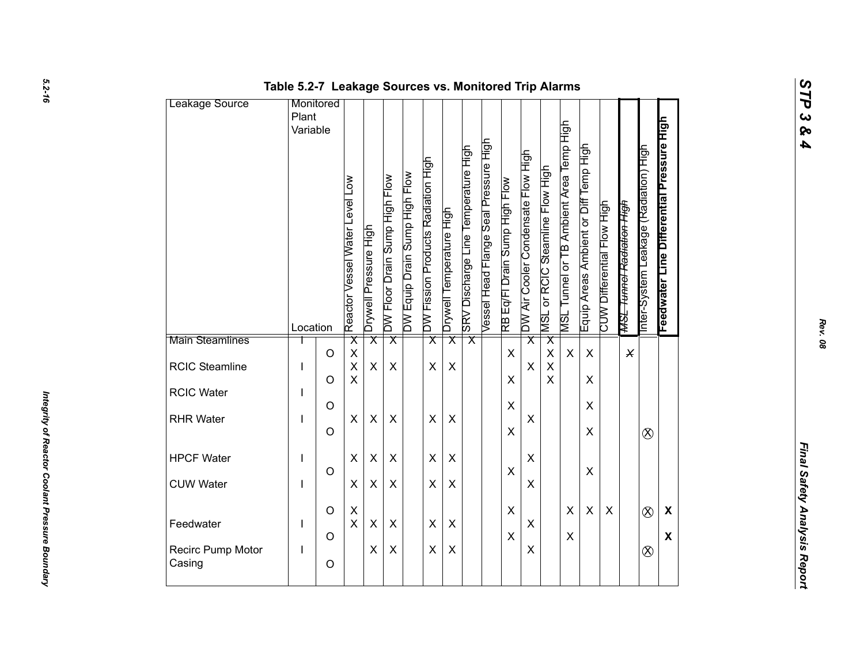| Leakage Source              | Table 5.2-7 Leakage Sources vs. Monitored Trip Alarms<br>Monitored |                    |                                                    |                         |                               |                               |                                    |                          |                                     |                                       |                               |                                    |                                 |                                         |                                       |                            |                                      |                                       |                                           |  |
|-----------------------------|--------------------------------------------------------------------|--------------------|----------------------------------------------------|-------------------------|-------------------------------|-------------------------------|------------------------------------|--------------------------|-------------------------------------|---------------------------------------|-------------------------------|------------------------------------|---------------------------------|-----------------------------------------|---------------------------------------|----------------------------|--------------------------------------|---------------------------------------|-------------------------------------------|--|
|                             | Plant<br>Variable                                                  |                    | Reactor Vessel Water Level Low                     | Drywell Pressure High   | DW Floor Drain Sump High Flow | DW Equip Drain Sump High Flow | DW Fission Products Radiation High | Drywell Temperature High | SRV Discharge Line Temperature High | Vessel Head Flange Seal Pressure High | RB Eq/Fl Drain Sump High Flow | DW Air Cooler Condensate Flow High | MSL or RCIC Steamline Flow High | MSL Tunnel or TB Ambient Area Temp High | Equip Areas Ambient or Diff Temp High | CUW Differential Flow High | <del>MSL Tunnel Radiation High</del> | Inter-System Leakage (Radiation) High | Feedwater Line Differential Pressure High |  |
| Main Steamlines             | Location                                                           |                    | $\overline{\mathsf{x}}$                            | $\overline{\mathsf{x}}$ | $\overline{\mathsf{x}}$       |                               | $\overline{\mathsf{x}}$            | $\overline{\mathsf{x}}$  | $\overline{\mathsf{x}}$             |                                       |                               | $\overline{\mathsf{x}}$            | $\overline{\mathsf{x}}$         |                                         |                                       |                            |                                      |                                       |                                           |  |
| RCIC Steamline              | I                                                                  | $\circ$<br>$\circ$ | $\pmb{\mathsf{X}}$<br>$\mathsf{X}$<br>$\mathsf{X}$ | X                       | X                             |                               | X                                  | $\pmb{\times}$           |                                     |                                       | $\mathsf{X}$<br>X             | X                                  | $\pmb{\times}$<br>$\sf X$<br>X  | $\boldsymbol{\mathsf{X}}$               | $\pmb{\times}$<br>$\pmb{\times}$      |                            | $\times$                             |                                       |                                           |  |
| RCIC Water                  |                                                                    | $\circ$            |                                                    |                         |                               |                               |                                    |                          |                                     |                                       | $\pmb{\times}$                |                                    |                                 |                                         | $\pmb{\times}$                        |                            |                                      |                                       |                                           |  |
| <b>RHR Water</b>            |                                                                    | $\circ$            | X                                                  | $\pmb{\times}$          | X                             |                               | $\pmb{\times}$                     | $\pmb{\times}$           |                                     |                                       | X                             | X                                  |                                 |                                         | $\pmb{\times}$                        |                            |                                      | $\otimes$                             |                                           |  |
| <b>HPCF Water</b>           | J.                                                                 |                    | $\pmb{\times}$                                     | X                       | $\pmb{\times}$                |                               | $\pmb{\times}$                     | X                        |                                     |                                       |                               | X                                  |                                 |                                         |                                       |                            |                                      |                                       |                                           |  |
| <b>CUW Water</b>            | I                                                                  | $\circ$            | $\pmb{\times}$                                     | X                       | $\pmb{\times}$                |                               | X                                  | X                        |                                     |                                       | X                             | X                                  |                                 |                                         | $\mathsf X$                           |                            |                                      |                                       |                                           |  |
| Feedwater                   | L                                                                  | $\circ$            | $\mathsf X$<br>$\mathsf X$                         | $\pmb{\times}$          | X                             |                               | $\pmb{\times}$                     | $\pmb{\times}$           |                                     |                                       | $\mathsf X$                   | $\pmb{\times}$                     |                                 | $\pmb{\times}$                          | $\pmb{\times}$                        | $\pmb{\times}$             |                                      | $\otimes$                             | $\boldsymbol{\mathsf{X}}$                 |  |
| Recirc Pump Motor<br>Casing | L                                                                  | $\circ$<br>$\circ$ |                                                    | X                       | $\pmb{\times}$                |                               | $\pmb{\times}$                     | $\pmb{\times}$           |                                     |                                       | $\mathsf X$                   | X                                  |                                 | $\pmb{\times}$                          |                                       |                            |                                      | $\otimes$                             | $\boldsymbol{\mathsf{X}}$                 |  |
|                             |                                                                    |                    |                                                    |                         |                               |                               |                                    |                          |                                     |                                       |                               |                                    |                                 |                                         |                                       |                            |                                      |                                       |                                           |  |

*Rev. 08*

*STP 3 & 4*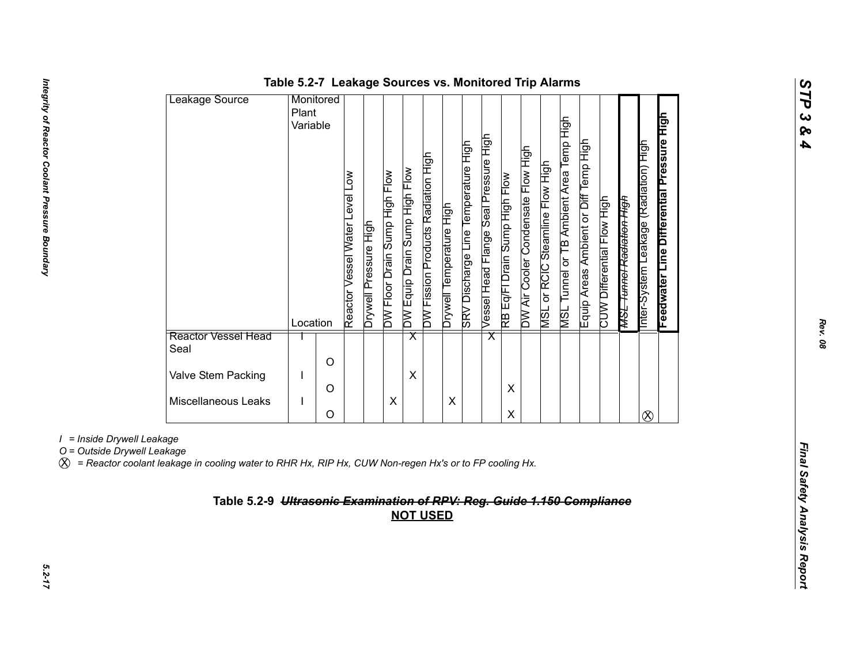| Leakage Source              | Monitored |          |                                                |                          |                               |                               |                                    |                          |                                               |                                       |                               |                                    |                                           |                                                   |                                          |                            |                                      |                                              |                                           |
|-----------------------------|-----------|----------|------------------------------------------------|--------------------------|-------------------------------|-------------------------------|------------------------------------|--------------------------|-----------------------------------------------|---------------------------------------|-------------------------------|------------------------------------|-------------------------------------------|---------------------------------------------------|------------------------------------------|----------------------------|--------------------------------------|----------------------------------------------|-------------------------------------------|
|                             | Plant     |          |                                                |                          |                               |                               |                                    |                          |                                               |                                       |                               |                                    |                                           |                                                   |                                          |                            |                                      |                                              |                                           |
|                             | Variable  |          |                                                |                          |                               |                               |                                    |                          |                                               |                                       |                               |                                    |                                           |                                                   |                                          |                            |                                      |                                              |                                           |
|                             | Location  |          | $\sum_{i=1}^{n}$<br>Reactor Vessel Water Level | Pressure High<br>Drywell | DW Floor Drain Sump High Flow | DW Equip Drain Sump High Flow | DW Fission Products Radiation High | Drywell Temperature High | Discharge Line Temperature High<br><b>ABS</b> | Vessel Head Flange Seal Pressure High | RB Eq/FI Drain Sump High Flow | DW Air Cooler Condensate Flow High | or RCIC Steamline Flow High<br><b>TSN</b> | Tunnel or TB Ambient Area Temp High<br><b>TSN</b> | High<br>Equip Areas Ambient or Diff Temp | CUW Differential Flow High | <del>MSL Tunnel Radiation High</del> | 与<br>王<br>Leakage (Radiation)<br>nter-System | Feedwater Line Differential Pressure High |
| Reactor Vessel Head<br>Seal |           |          |                                                |                          |                               | $\overline{\textsf{x}}$       |                                    |                          |                                               | $\overline{\mathsf{x}}$               |                               |                                    |                                           |                                                   |                                          |                            |                                      |                                              |                                           |
|                             |           | O        |                                                |                          |                               |                               |                                    |                          |                                               |                                       |                               |                                    |                                           |                                                   |                                          |                            |                                      |                                              |                                           |
| Valve Stem Packing          |           |          |                                                |                          |                               | X                             |                                    |                          |                                               |                                       |                               |                                    |                                           |                                                   |                                          |                            |                                      |                                              |                                           |
|                             |           | $\Omega$ |                                                |                          |                               |                               |                                    |                          |                                               |                                       | X                             |                                    |                                           |                                                   |                                          |                            |                                      |                                              |                                           |
| Miscellaneous Leaks         |           |          |                                                |                          | X                             |                               |                                    | Χ                        |                                               |                                       |                               |                                    |                                           |                                                   |                                          |                            |                                      |                                              |                                           |
|                             |           | O        |                                                |                          |                               |                               |                                    |                          |                                               |                                       | Χ                             |                                    |                                           |                                                   |                                          |                            |                                      | $\otimes$                                    |                                           |

### **Table 5.2-7 Leakage Sources vs. Monitored Trip Alarms**

*I = Inside Drywell Leakage*

X *= Reactor coolant leakage in cooling water to RHR Hx, RIP Hx, CUW Non-regen Hx's or to FP cooling Hx.*

# *Final Safety Analysis Reportion Computer Computer Computer Computer Computer Computer Computer Computer Computer Computer of Computer of Computer Computer Computer Computer Computer Computer Computer Computer Computer Com*

*STP 3 & 4*